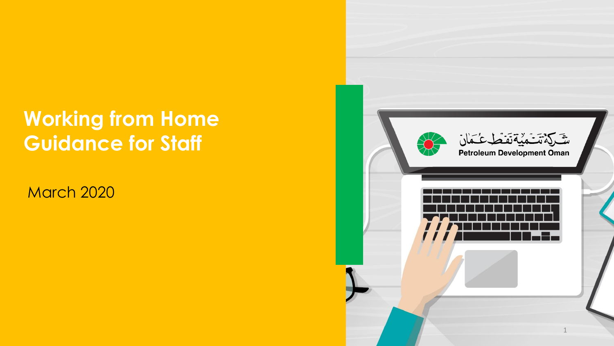### **Working from Home Guidance for Staff**

March 2020

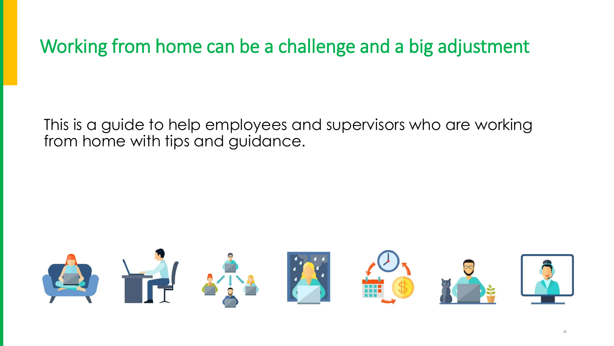Working from home can be a challenge and a big adjustment

This is a guide to help employees and supervisors who are working from home with tips and guidance.

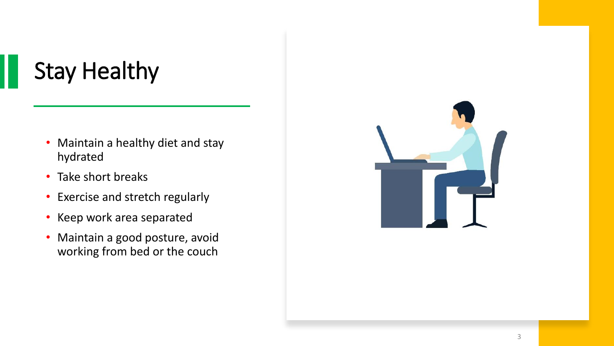# Stay Healthy

- Maintain a healthy diet and stay hydrated
- Take short breaks
- Exercise and stretch regularly
- Keep work area separated
- Maintain a good posture, avoid working from bed or the couch

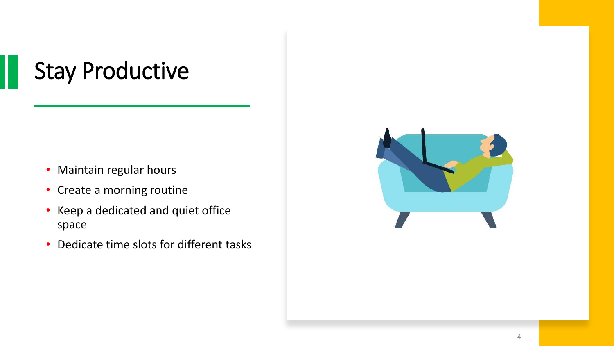## Stay Productive

- Maintain regular hours
- Create a morning routine
- Keep a dedicated and quiet office space
- Dedicate time slots for different tasks

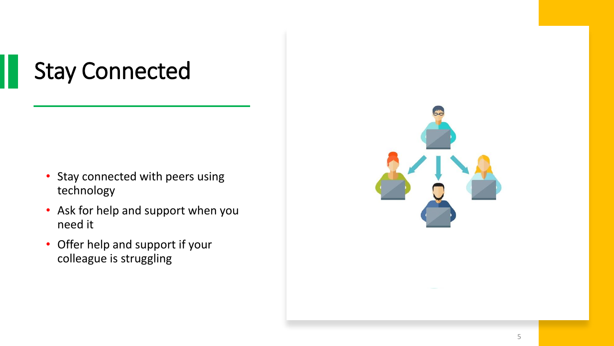# Stay Connected

- Stay connected with peers using technology
- Ask for help and support when you need it
- Offer help and support if your colleague is struggling

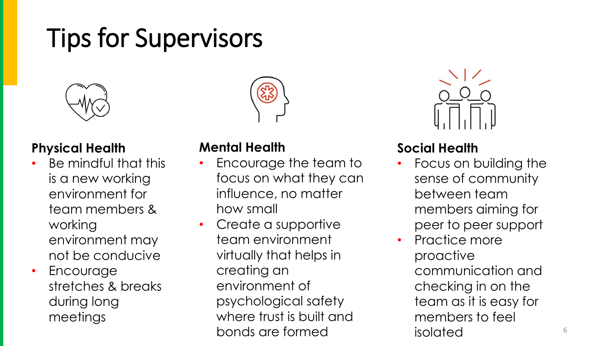# Tips for Supervisors



#### **Physical Health**

- Be mindful that this is a new working environment for team members & working environment may not be conducive
- **Encourage** stretches & breaks during long meetings

### **Mental Health**

- Encourage the team to focus on what they can influence, no matter how small
- Create a supportive team environment virtually that helps in creating an environment of psychological safety where trust is built and bonds are formed



### **Social Health**

- Focus on building the sense of community between team members aiming for peer to peer support
- Practice more proactive communication and checking in on the team as it is easy for members to feel isolated